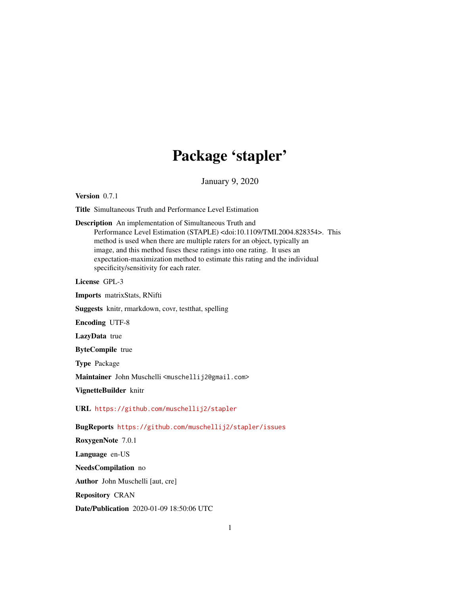## Package 'stapler'

January 9, 2020

<span id="page-0-0"></span>Version 0.7.1

Title Simultaneous Truth and Performance Level Estimation

Description An implementation of Simultaneous Truth and

Performance Level Estimation (STAPLE) <doi:10.1109/TMI.2004.828354>. This method is used when there are multiple raters for an object, typically an image, and this method fuses these ratings into one rating. It uses an expectation-maximization method to estimate this rating and the individual specificity/sensitivity for each rater.

License GPL-3

Imports matrixStats, RNifti

Suggests knitr, rmarkdown, covr, testthat, spelling

Encoding UTF-8

LazyData true

ByteCompile true

Type Package

Maintainer John Muschelli <muschellij2@gmail.com>

VignetteBuilder knitr

URL <https://github.com/muschellij2/stapler>

BugReports <https://github.com/muschellij2/stapler/issues>

RoxygenNote 7.0.1

Language en-US

NeedsCompilation no

Author John Muschelli [aut, cre]

Repository CRAN

Date/Publication 2020-01-09 18:50:06 UTC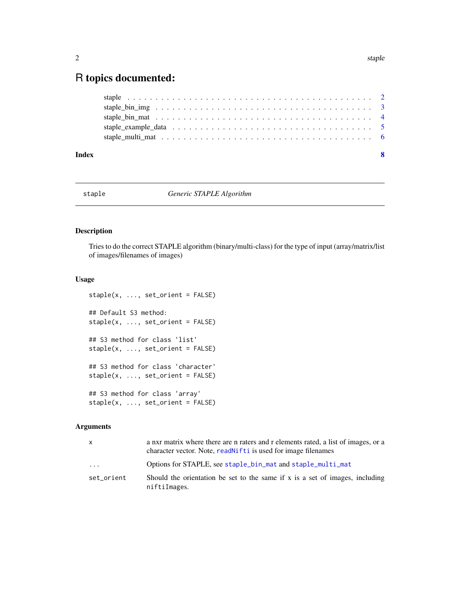### <span id="page-1-0"></span>R topics documented:

| Index | -8 |
|-------|----|
|       |    |
|       |    |
|       |    |
|       |    |
|       |    |

#### staple *Generic STAPLE Algorithm*

#### Description

Tries to do the correct STAPLE algorithm (binary/multi-class) for the type of input (array/matrix/list of images/filenames of images)

#### Usage

```
steple(x, ..., set\_orient = FALSE)## Default S3 method:
staple(x, ..., set_orient = FALSE)
## S3 method for class 'list'
staple(x, ..., set_orient = FALSE)
## S3 method for class 'character'
staple(x, ..., set_orient = FALSE)
## S3 method for class 'array'
staple(x, ..., set_orient = FALSE)
```
#### Arguments

| X          | a nxr matrix where there are n raters and r elements rated, a list of images, or a<br>character vector. Note, readn't f t is used for image filenames |
|------------|-------------------------------------------------------------------------------------------------------------------------------------------------------|
| $\cdots$   | Options for STAPLE, see staple_bin_mat and staple_multi_mat                                                                                           |
| set orient | Should the orientation be set to the same if $x$ is a set of images, including<br>niftiImages.                                                        |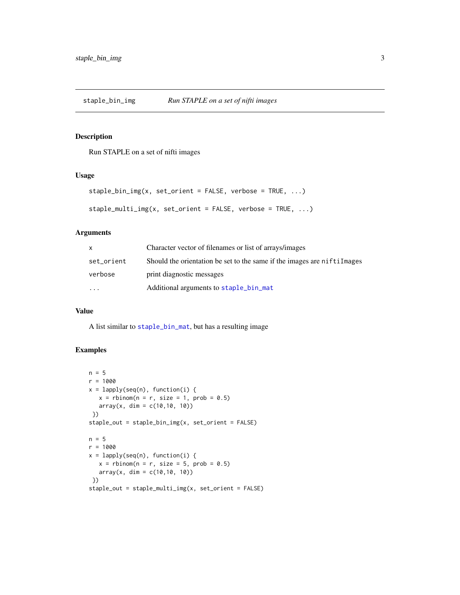<span id="page-2-0"></span>staple\_bin\_img *Run STAPLE on a set of nifti images*

#### Description

Run STAPLE on a set of nifti images

#### Usage

```
staple_bin_img(x, set_orient = FALSE, verbose = TRUE, ...)
```

```
staple_multi_img(x, set_orient = FALSE, verbose = TRUE, ...)
```
#### Arguments

| X          | Character vector of filenames or list of arrays/images                    |
|------------|---------------------------------------------------------------------------|
| set_orient | Should the orientation be set to the same if the images are niftill mages |
| verbose    | print diagnostic messages                                                 |
| $\ddotsc$  | Additional arguments to staple_bin_mat                                    |

#### Value

A list similar to [staple\\_bin\\_mat](#page-3-1), but has a resulting image

#### Examples

```
n = 5r = 1000x = \text{lapply}(\text{seq}(n)), function(i) {
  x = rbinom(n = r, size = 1, prob = 0.5)
   array(x, dim = c(10, 10, 10))})
staple_out = staple_bin_img(x, set_orient = FALSE)
n = 5r = 1000x = \text{lapply}(\text{seq}(n)), function(i) {
   x = rbinom(n = r, size = 5, prob = 0.5)
   array(x, dim = c(10, 10, 10))})
staple_out = staple_multi_img(x, set_orient = FALSE)
```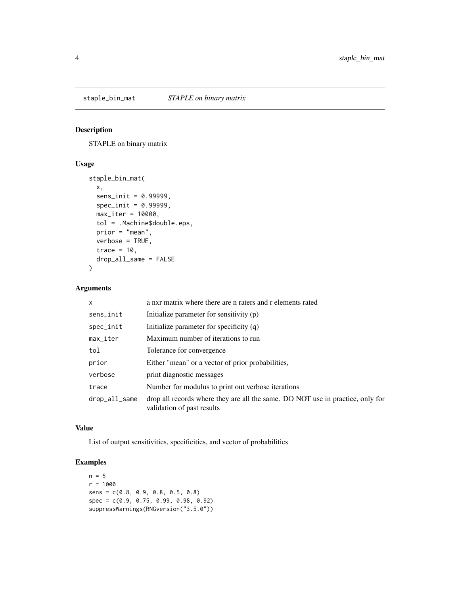<span id="page-3-1"></span><span id="page-3-0"></span>

#### Description

STAPLE on binary matrix

#### Usage

```
staple_bin_mat(
 x,
 sens_init = 0.99999,
 spec\_init = 0.99999,max\_iter = 10000,
 tol = .Machine$double.eps,
 prior = "mean",
 verbose = TRUE,
  trace = 10,
 drop_all_same = FALSE
\mathcal{L}
```
#### Arguments

| x             | a nxr matrix where there are n raters and r elements rated                                                   |
|---------------|--------------------------------------------------------------------------------------------------------------|
| sens_init     | Initialize parameter for sensitivity (p)                                                                     |
| spec_init     | Initialize parameter for specificity (q)                                                                     |
| max_iter      | Maximum number of iterations to run                                                                          |
| tol           | Tolerance for convergence                                                                                    |
| prior         | Either "mean" or a vector of prior probabilities,                                                            |
| verbose       | print diagnostic messages                                                                                    |
| trace         | Number for modulus to print out verbose iterations                                                           |
| drop_all_same | drop all records where they are all the same. DO NOT use in practice, only for<br>validation of past results |

#### Value

List of output sensitivities, specificities, and vector of probabilities

#### Examples

```
n = 5r = 1000
sens = c(0.8, 0.9, 0.8, 0.5, 0.8)
spec = c(0.9, 0.75, 0.99, 0.98, 0.92)
suppressWarnings(RNGversion("3.5.0"))
```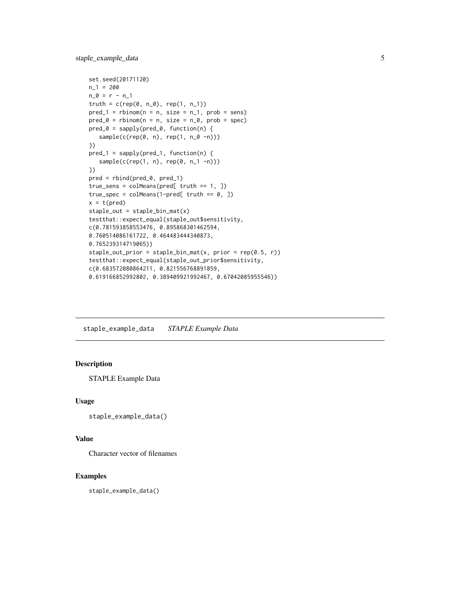```
set.seed(20171120)
n_1 = 200n_0 = r - n_1truth = c(rep(\emptyset, n_0), rep(1, n_1))pred_1 = rbinom(n = n, size = n_1, prob = sens)
pred_0 = rbinom(n = n, size = n_0, prob = spec)pred_0 = sapply(pred_0, function(n) {
   sample(c(rep(0, n), rep(1, n_0 -n)))
})
pred_1 = sapply(pred_1, function(n) {
   sample(c(rep(1, n), rep(0, n_1 -n)))
})
pred = rbind(pred_0, pred_1)
true_sens = colMeans(pred[ truth == 1, ])true_spec = colMeans(1-pred[ truth == 0, ])
x = t(pred)staple_out = staple_bin_mat(x)
testthat::expect_equal(staple_out$sensitivity,
c(0.781593858553476, 0.895868301462594,
0.760514086161722, 0.464483444340873,
0.765239314719065))
staple_out_prior = staple_bin_mat(x, prior = rep(0.5, r))
testthat::expect_equal(staple_out_prior$sensitivity,
c(0.683572080864211, 0.821556768891859,
0.619166852992802, 0.389409921992467, 0.67042085955546))
```
staple\_example\_data *STAPLE Example Data*

#### Description

STAPLE Example Data

#### Usage

```
staple_example_data()
```
#### Value

Character vector of filenames

#### Examples

staple\_example\_data()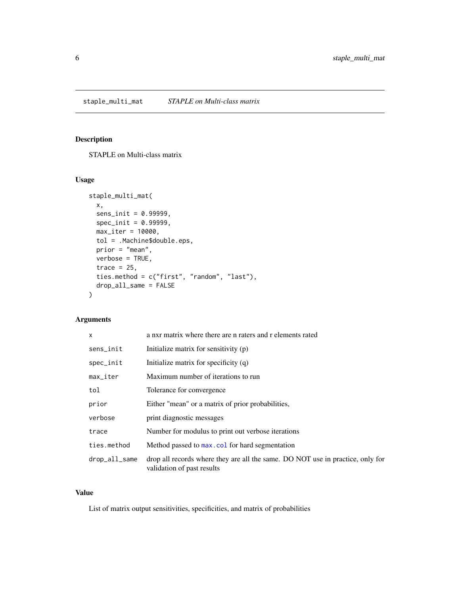#### <span id="page-5-1"></span><span id="page-5-0"></span>Description

STAPLE on Multi-class matrix

#### Usage

```
staple_multi_mat(
  x,
  sens_init = 0.99999,
  spec\_init = 0.99999,max_iter = 10000,
  tol = .Machine$double.eps,
 prior = "mean",
 verbose = TRUE,
  trace = 25,
  ties.method = c("first", "random", "last"),
  drop_all_same = FALSE
\mathcal{L}
```
#### Arguments

| $\mathsf{x}$           | a nxr matrix where there are n raters and r elements rated                                                   |
|------------------------|--------------------------------------------------------------------------------------------------------------|
| sens_init              | Initialize matrix for sensitivity (p)                                                                        |
| spec_init              | Initialize matrix for specificity (q)                                                                        |
| $max$ <sub>-iter</sub> | Maximum number of iterations to run                                                                          |
| tol                    | Tolerance for convergence                                                                                    |
| prior                  | Either "mean" or a matrix of prior probabilities,                                                            |
| verbose                | print diagnostic messages                                                                                    |
| trace                  | Number for modulus to print out verbose iterations                                                           |
| ties.method            | Method passed to max.col for hard segmentation                                                               |
| drop_all_same          | drop all records where they are all the same. DO NOT use in practice, only for<br>validation of past results |

#### Value

List of matrix output sensitivities, specificities, and matrix of probabilities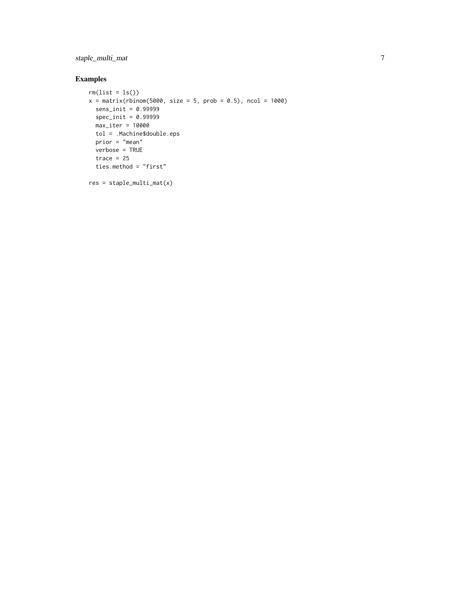staple\_multi\_mat 7

#### Examples

```
rm(list = ls())x = matrix(rbinom(5000, size = 5, prob = 0.5), ncol = 1000)sens_init = 0.99999
 spec_init = 0.99999
 max_iter = 10000
 tol = .Machine$double.eps
 prior = "mean"
 verbose = TRUE
 trace = 25ties.method = "first"
res = staple_multi_mat(x)
```